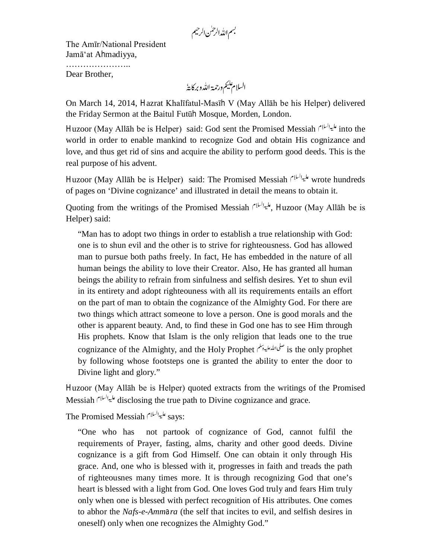بسم الله الرحمٰن الرحيم

The Amīr/National President Jamā'at Ahmadiyya, …………………… Dear Brother,

On March 14, 2014, Hazrat Khalīfatul-Masīh V (May Allāh be his Helper) delivered the Friday Sermon at the Baitul Futūh Mosque, Morden, London.

Huzoor (May Allāh be is Helper) said: God sent the Promised Messiah المحليوالسلام into the world in order to enable mankind to recognize God and obtain His cognizance and love, and thus get rid of sins and acquire the ability to perform good deeds. This is the real purpose of his advent.

Huzoor (May Allāh be is Helper) said: The Promised Messiah الليه السلام wrote hundreds of pages on 'Divine cognizance' and illustrated in detail the means to obtain it.

Quoting from the writings of the Promised Messiah , بليدالسلام Huzoor (May Allāh be is Helper) said:

"Man has to adopt two things in order to establish a true relationship with God: one is to shun evil and the other is to strive for righteousness. God has allowed man to pursue both paths freely. In fact, He has embedded in the nature of all human beings the ability to love their Creator. Also, He has granted all human beings the ability to refrain from sinfulness and selfish desires. Yet to shun evil in its entirety and adopt righteouness with all its requirements entails an effort on the part of man to obtain the cognizance of the Almighty God. For there are two things which attract someone to love a person. One is good morals and the other is apparent beauty. And, to find these in God one has to see Him through His prophets. Know that Islam is the only religion that leads one to the true cognizance of the Almighty, and the Holy Prophet نعلىالله عليه تبلم الله عليه تبلم السلم المسلم و cognizance of the Almighty, and the Holy Prophet by following whose footsteps one is granted the ability to enter the door to Divine light and glory."

Huzoor (May Allāh be is Helper) quoted extracts from the writings of the Promised Messiah disclosing the true path to Divine cognizance and grace.

The Promised Messiah  $\frac{d}{dx}$  says:

"One who has not partook of cognizance of God, cannot fulfil the requirements of Prayer, fasting, alms, charity and other good deeds. Divine cognizance is a gift from God Himself. One can obtain it only through His grace. And, one who is blessed with it, progresses in faith and treads the path of righteousnes many times more. It is through recognizing God that one's heart is blessed with a light from God. One loves God truly and fears Him truly only when one is blessed with perfect recognition of His attributes. One comes to abhor the *Nafs-e-Ammara* (the self that incites to evil, and selfish desires in oneself) only when one recognizes the Almighty God."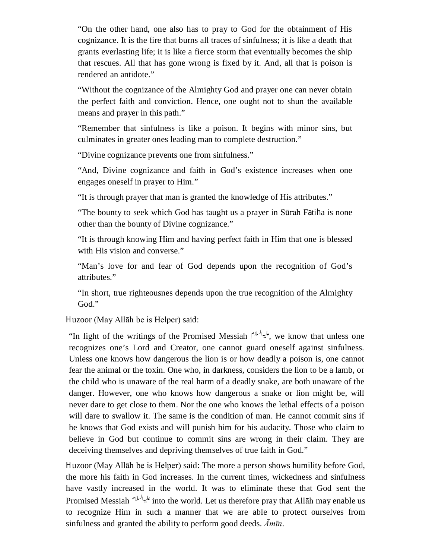"On the other hand, one also has to pray to God for the obtainment of His cognizance. It is the fire that burns all traces of sinfulness; it is like a death that grants everlasting life; it is like a fierce storm that eventually becomes the ship that rescues. All that has gone wrong is fixed by it. And, all that is poison is rendered an antidote."

"Without the cognizance of the Almighty God and prayer one can never obtain the perfect faith and conviction. Hence, one ought not to shun the available means and prayer in this path."

"Remember that sinfulness is like a poison. It begins with minor sins, but culminates in greater ones leading man to complete destruction."

"Divine cognizance prevents one from sinfulness."

"And, Divine cognizance and faith in God's existence increases when one engages oneself in prayer to Him."

"It is through prayer that man is granted the knowledge of His attributes."

"The bounty to seek which God has taught us a prayer in Sūrah Fatiha is none other than the bounty of Divine cognizance."

"It is through knowing Him and having perfect faith in Him that one is blessed with His vision and converse."

"Man's love for and fear of God depends upon the recognition of God's attributes."

"In short, true righteousnes depends upon the true recognition of the Almighty God."

Huzoor (May Allāh be is Helper) said:

He light of the writings of the Promised Messiah  $\mathcal{L}^{(1)}$ , we know that unless one recognizes one's Lord and Creator, one cannot guard oneself against sinfulness. Unless one knows how dangerous the lion is or how deadly a poison is, one cannot fear the animal or the toxin. One who, in darkness, considers the lion to be a lamb, or the child who is unaware of the real harm of a deadly snake, are both unaware of the danger. However, one who knows how dangerous a snake or lion might be, will never dare to get close to them. Nor the one who knows the lethal effects of a poison will dare to swallow it. The same is the condition of man. He cannot commit sins if he knows that God exists and will punish him for his audacity. Those who claim to believe in God but continue to commit sins are wrong in their claim. They are deceiving themselves and depriving themselves of true faith in God."

Huzoor (May Allāh be is Helper) said: The more a person shows humility before God, the more his faith in God increases. In the current times, wickedness and sinfulness have vastly increased in the world. It was to eliminate these that God sent the Promised Messiah <sup>عليدالسلام</sup> into the world. Let us therefore pray that Allāh may enable us to recognize Him in such a manner that we are able to protect ourselves from sinfulness and granted the ability to perform good deeds. *Āmīn*.